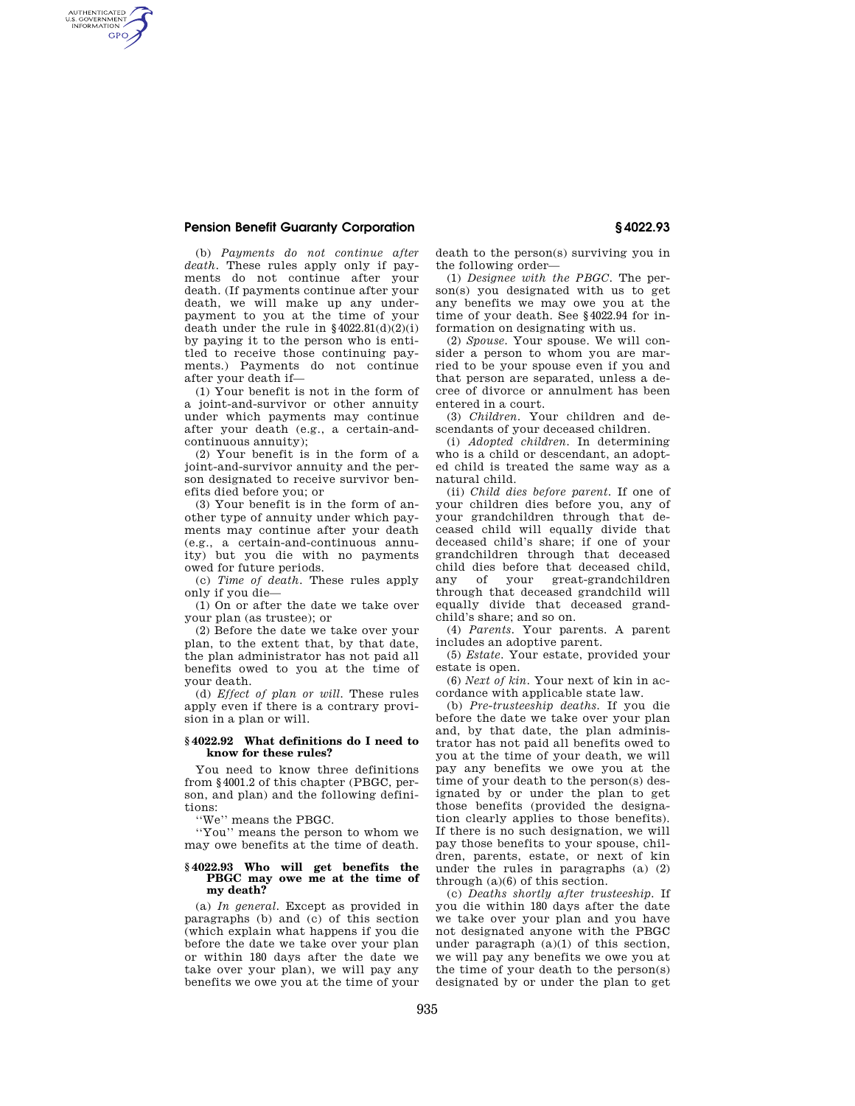### **Pension Benefit Guaranty Corporation § 4022.93**

AUTHENTICATED<br>U.S. GOVERNMENT<br>INFORMATION **GPO** 

> (b) *Payments do not continue after death.* These rules apply only if payments do not continue after your death. (If payments continue after your death, we will make up any underpayment to you at the time of your death under the rule in  $§4022.81(d)(2)(i)$ by paying it to the person who is entitled to receive those continuing payments.) Payments do not continue after your death if—

> (1) Your benefit is not in the form of a joint-and-survivor or other annuity under which payments may continue after your death (e.g., a certain-andcontinuous annuity);

> (2) Your benefit is in the form of a joint-and-survivor annuity and the person designated to receive survivor benefits died before you; or

> (3) Your benefit is in the form of another type of annuity under which payments may continue after your death (e.g., a certain-and-continuous annuity) but you die with no payments owed for future periods.

(c) *Time of death.* These rules apply only if you die—

(1) On or after the date we take over your plan (as trustee); or

(2) Before the date we take over your plan, to the extent that, by that date, the plan administrator has not paid all benefits owed to you at the time of your death.

(d) *Effect of plan or will.* These rules apply even if there is a contrary provision in a plan or will.

#### **§ 4022.92 What definitions do I need to know for these rules?**

You need to know three definitions from §4001.2 of this chapter (PBGC, person, and plan) and the following definitions:

''We'' means the PBGC.

''You'' means the person to whom we may owe benefits at the time of death.

#### **§ 4022.93 Who will get benefits the PBGC may owe me at the time of my death?**

(a) *In general.* Except as provided in paragraphs (b) and (c) of this section (which explain what happens if you die before the date we take over your plan or within 180 days after the date we take over your plan), we will pay any benefits we owe you at the time of your death to the person(s) surviving you in the following order—

(1) *Designee with the PBGC.* The person(s) you designated with us to get any benefits we may owe you at the time of your death. See §4022.94 for information on designating with us.

(2) *Spouse.* Your spouse. We will consider a person to whom you are married to be your spouse even if you and that person are separated, unless a decree of divorce or annulment has been entered in a court.

(3) *Children.* Your children and descendants of your deceased children.

(i) *Adopted children.* In determining who is a child or descendant, an adopted child is treated the same way as a natural child.

(ii) *Child dies before parent.* If one of your children dies before you, any of your grandchildren through that deceased child will equally divide that deceased child's share; if one of your grandchildren through that deceased child dies before that deceased child, any of your great-grandchildren through that deceased grandchild will equally divide that deceased grandchild's share; and so on.

(4) *Parents.* Your parents. A parent includes an adoptive parent.

(5) *Estate.* Your estate, provided your estate is open.

(6) *Next of kin.* Your next of kin in accordance with applicable state law.

(b) *Pre-trusteeship deaths.* If you die before the date we take over your plan and, by that date, the plan administrator has not paid all benefits owed to you at the time of your death, we will pay any benefits we owe you at the time of your death to the person(s) designated by or under the plan to get those benefits (provided the designation clearly applies to those benefits). If there is no such designation, we will pay those benefits to your spouse, children, parents, estate, or next of kin under the rules in paragraphs (a) (2) through (a)(6) of this section.

(c) *Deaths shortly after trusteeship.* If you die within 180 days after the date we take over your plan and you have not designated anyone with the PBGC under paragraph  $(a)(1)$  of this section, we will pay any benefits we owe you at the time of your death to the person(s) designated by or under the plan to get